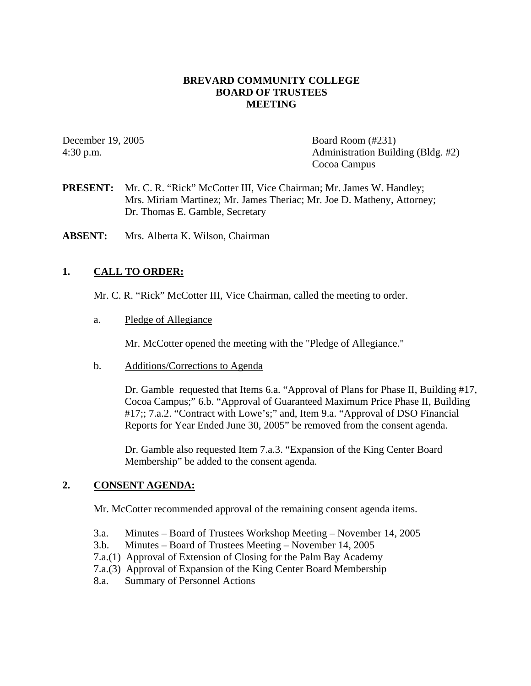#### **BREVARD COMMUNITY COLLEGE BOARD OF TRUSTEES MEETING**

December 19, 2005 Board Room (#231) 4:30 p.m. Administration Building (Bldg. #2) Cocoa Campus

**PRESENT:** Mr. C. R. "Rick" McCotter III, Vice Chairman; Mr. James W. Handley; Mrs. Miriam Martinez; Mr. James Theriac; Mr. Joe D. Matheny, Attorney; Dr. Thomas E. Gamble, Secretary

**ABSENT:** Mrs. Alberta K. Wilson, Chairman

### **1. CALL TO ORDER:**

Mr. C. R. "Rick" McCotter III, Vice Chairman, called the meeting to order.

a. Pledge of Allegiance

Mr. McCotter opened the meeting with the "Pledge of Allegiance."

b. Additions/Corrections to Agenda

Dr. Gamble requested that Items 6.a. "Approval of Plans for Phase II, Building #17, Cocoa Campus;" 6.b. "Approval of Guaranteed Maximum Price Phase II, Building #17;; 7.a.2. "Contract with Lowe's;" and, Item 9.a. "Approval of DSO Financial Reports for Year Ended June 30, 2005" be removed from the consent agenda.

Dr. Gamble also requested Item 7.a.3. "Expansion of the King Center Board Membership" be added to the consent agenda.

#### **2. CONSENT AGENDA:**

Mr. McCotter recommended approval of the remaining consent agenda items.

- 3.a. Minutes Board of Trustees Workshop Meeting November 14, 2005
- 3.b. Minutes Board of Trustees Meeting November 14, 2005
- 7.a.(1) Approval of Extension of Closing for the Palm Bay Academy
- 7.a.(3) Approval of Expansion of the King Center Board Membership
- 8.a. Summary of Personnel Actions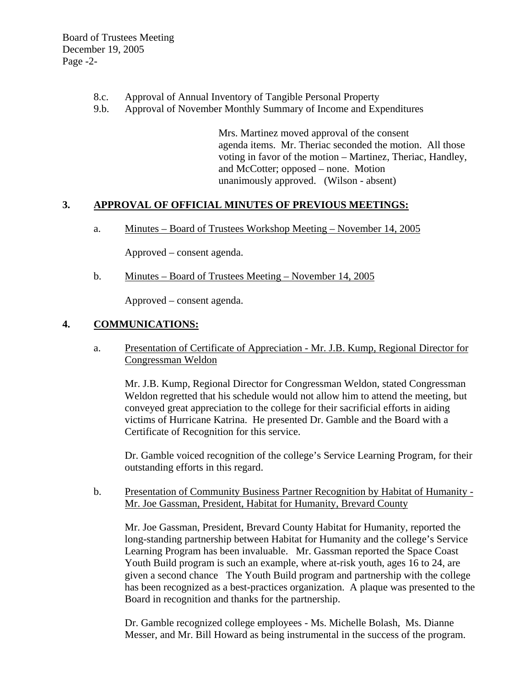- 8.c. Approval of Annual Inventory of Tangible Personal Property
- 9.b. Approval of November Monthly Summary of Income and Expenditures

Mrs. Martinez moved approval of the consent agenda items. Mr. Theriac seconded the motion. All those voting in favor of the motion – Martinez, Theriac, Handley, and McCotter; opposed – none. Motion unanimously approved. (Wilson - absent)

#### **3. APPROVAL OF OFFICIAL MINUTES OF PREVIOUS MEETINGS:**

a. Minutes – Board of Trustees Workshop Meeting – November 14, 2005

Approved – consent agenda.

b. Minutes – Board of Trustees Meeting – November 14, 2005

Approved – consent agenda.

### **4. COMMUNICATIONS:**

a. Presentation of Certificate of Appreciation - Mr. J.B. Kump, Regional Director for Congressman Weldon

 Mr. J.B. Kump, Regional Director for Congressman Weldon, stated Congressman Weldon regretted that his schedule would not allow him to attend the meeting, but conveyed great appreciation to the college for their sacrificial efforts in aiding victims of Hurricane Katrina. He presented Dr. Gamble and the Board with a Certificate of Recognition for this service.

 Dr. Gamble voiced recognition of the college's Service Learning Program, for their outstanding efforts in this regard.

b. Presentation of Community Business Partner Recognition by Habitat of Humanity - Mr. Joe Gassman, President, Habitat for Humanity, Brevard County

 Mr. Joe Gassman, President, Brevard County Habitat for Humanity, reported the long-standing partnership between Habitat for Humanity and the college's Service Learning Program has been invaluable. Mr. Gassman reported the Space Coast Youth Build program is such an example, where at-risk youth, ages 16 to 24, are given a second chance The Youth Build program and partnership with the college has been recognized as a best-practices organization. A plaque was presented to the Board in recognition and thanks for the partnership.

 Dr. Gamble recognized college employees - Ms. Michelle Bolash, Ms. Dianne Messer, and Mr. Bill Howard as being instrumental in the success of the program.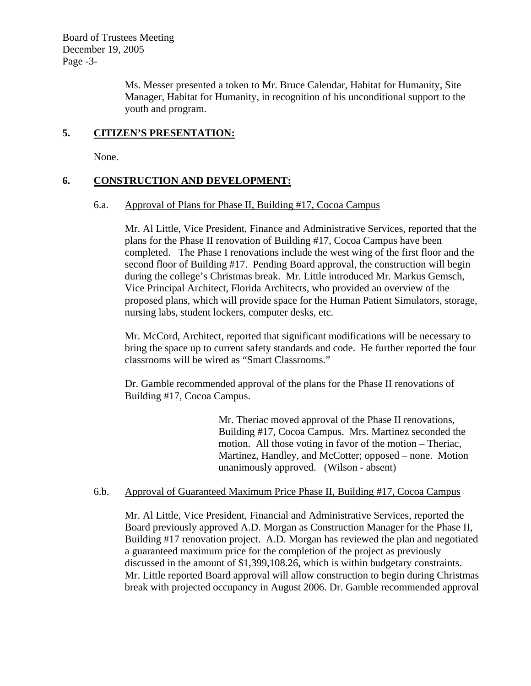Board of Trustees Meeting December 19, 2005 Page -3-

> Ms. Messer presented a token to Mr. Bruce Calendar, Habitat for Humanity, Site Manager, Habitat for Humanity, in recognition of his unconditional support to the youth and program.

### **5. CITIZEN'S PRESENTATION:**

None.

### **6. CONSTRUCTION AND DEVELOPMENT:**

#### 6.a. Approval of Plans for Phase II, Building #17, Cocoa Campus

Mr. Al Little, Vice President, Finance and Administrative Services, reported that the plans for the Phase II renovation of Building #17, Cocoa Campus have been completed. The Phase I renovations include the west wing of the first floor and the second floor of Building #17. Pending Board approval, the construction will begin during the college's Christmas break. Mr. Little introduced Mr. Markus Gemsch, Vice Principal Architect, Florida Architects, who provided an overview of the proposed plans, which will provide space for the Human Patient Simulators, storage, nursing labs, student lockers, computer desks, etc.

Mr. McCord, Architect, reported that significant modifications will be necessary to bring the space up to current safety standards and code. He further reported the four classrooms will be wired as "Smart Classrooms."

Dr. Gamble recommended approval of the plans for the Phase II renovations of Building #17, Cocoa Campus.

> Mr. Theriac moved approval of the Phase II renovations, Building #17, Cocoa Campus. Mrs. Martinez seconded the motion. All those voting in favor of the motion – Theriac, Martinez, Handley, and McCotter; opposed – none. Motion unanimously approved. (Wilson - absent)

#### 6.b. Approval of Guaranteed Maximum Price Phase II, Building #17, Cocoa Campus

Mr. Al Little, Vice President, Financial and Administrative Services, reported the Board previously approved A.D. Morgan as Construction Manager for the Phase II, Building #17 renovation project. A.D. Morgan has reviewed the plan and negotiated a guaranteed maximum price for the completion of the project as previously discussed in the amount of \$1,399,108.26, which is within budgetary constraints. Mr. Little reported Board approval will allow construction to begin during Christmas break with projected occupancy in August 2006. Dr. Gamble recommended approval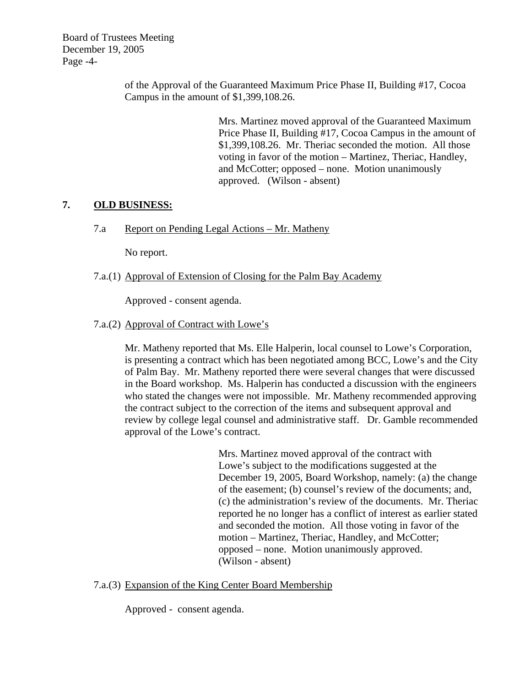Board of Trustees Meeting December 19, 2005 Page -4-

> of the Approval of the Guaranteed Maximum Price Phase II, Building #17, Cocoa Campus in the amount of \$1,399,108.26.

> > Mrs. Martinez moved approval of the Guaranteed Maximum Price Phase II, Building #17, Cocoa Campus in the amount of \$1,399,108.26. Mr. Theriac seconded the motion. All those voting in favor of the motion – Martinez, Theriac, Handley, and McCotter; opposed – none. Motion unanimously approved. (Wilson - absent)

## **7. OLD BUSINESS:**

7.a Report on Pending Legal Actions – Mr. Matheny

No report.

7.a.(1) Approval of Extension of Closing for the Palm Bay Academy

Approved - consent agenda.

### 7.a.(2) Approval of Contract with Lowe's

Mr. Matheny reported that Ms. Elle Halperin, local counsel to Lowe's Corporation, is presenting a contract which has been negotiated among BCC, Lowe's and the City of Palm Bay. Mr. Matheny reported there were several changes that were discussed in the Board workshop. Ms. Halperin has conducted a discussion with the engineers who stated the changes were not impossible. Mr. Matheny recommended approving the contract subject to the correction of the items and subsequent approval and review by college legal counsel and administrative staff. Dr. Gamble recommended approval of the Lowe's contract.

> Mrs. Martinez moved approval of the contract with Lowe's subject to the modifications suggested at the December 19, 2005, Board Workshop, namely: (a) the change of the easement; (b) counsel's review of the documents; and, (c) the administration's review of the documents. Mr. Theriac reported he no longer has a conflict of interest as earlier stated and seconded the motion. All those voting in favor of the motion – Martinez, Theriac, Handley, and McCotter; opposed – none. Motion unanimously approved. (Wilson - absent)

#### 7.a.(3) Expansion of the King Center Board Membership

Approved - consent agenda.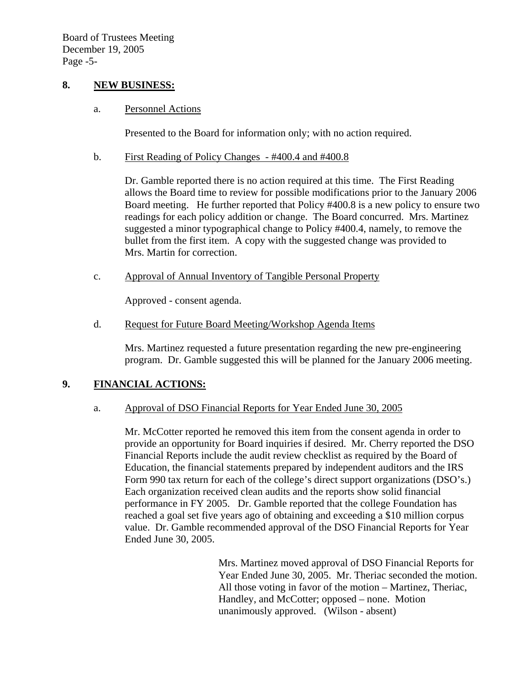### **8. NEW BUSINESS:**

#### a. Personnel Actions

Presented to the Board for information only; with no action required.

#### b. First Reading of Policy Changes - #400.4 and #400.8

Dr. Gamble reported there is no action required at this time. The First Reading allows the Board time to review for possible modifications prior to the January 2006 Board meeting. He further reported that Policy #400.8 is a new policy to ensure two readings for each policy addition or change. The Board concurred. Mrs. Martinez suggested a minor typographical change to Policy #400.4, namely, to remove the bullet from the first item. A copy with the suggested change was provided to Mrs. Martin for correction.

c. Approval of Annual Inventory of Tangible Personal Property

Approved - consent agenda.

d. Request for Future Board Meeting/Workshop Agenda Items

Mrs. Martinez requested a future presentation regarding the new pre-engineering program. Dr. Gamble suggested this will be planned for the January 2006 meeting.

## **9. FINANCIAL ACTIONS:**

#### a. Approval of DSO Financial Reports for Year Ended June 30, 2005

Mr. McCotter reported he removed this item from the consent agenda in order to provide an opportunity for Board inquiries if desired. Mr. Cherry reported the DSO Financial Reports include the audit review checklist as required by the Board of Education, the financial statements prepared by independent auditors and the IRS Form 990 tax return for each of the college's direct support organizations (DSO's.) Each organization received clean audits and the reports show solid financial performance in FY 2005. Dr. Gamble reported that the college Foundation has reached a goal set five years ago of obtaining and exceeding a \$10 million corpus value. Dr. Gamble recommended approval of the DSO Financial Reports for Year Ended June 30, 2005.

> Mrs. Martinez moved approval of DSO Financial Reports for Year Ended June 30, 2005. Mr. Theriac seconded the motion. All those voting in favor of the motion – Martinez, Theriac, Handley, and McCotter; opposed – none. Motion unanimously approved. (Wilson - absent)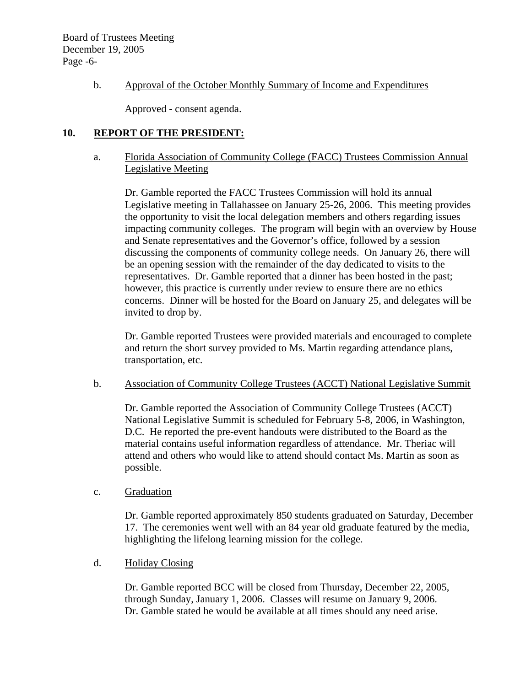## b. Approval of the October Monthly Summary of Income and Expenditures

Approved - consent agenda.

## **10. REPORT OF THE PRESIDENT:**

### a. Florida Association of Community College (FACC) Trustees Commission Annual Legislative Meeting

Dr. Gamble reported the FACC Trustees Commission will hold its annual Legislative meeting in Tallahassee on January 25-26, 2006. This meeting provides the opportunity to visit the local delegation members and others regarding issues impacting community colleges. The program will begin with an overview by House and Senate representatives and the Governor's office, followed by a session discussing the components of community college needs. On January 26, there will be an opening session with the remainder of the day dedicated to visits to the representatives. Dr. Gamble reported that a dinner has been hosted in the past; however, this practice is currently under review to ensure there are no ethics concerns. Dinner will be hosted for the Board on January 25, and delegates will be invited to drop by.

Dr. Gamble reported Trustees were provided materials and encouraged to complete and return the short survey provided to Ms. Martin regarding attendance plans, transportation, etc.

#### b. Association of Community College Trustees (ACCT) National Legislative Summit

Dr. Gamble reported the Association of Community College Trustees (ACCT) National Legislative Summit is scheduled for February 5-8, 2006, in Washington, D.C. He reported the pre-event handouts were distributed to the Board as the material contains useful information regardless of attendance. Mr. Theriac will attend and others who would like to attend should contact Ms. Martin as soon as possible.

#### c. Graduation

Dr. Gamble reported approximately 850 students graduated on Saturday, December 17. The ceremonies went well with an 84 year old graduate featured by the media, highlighting the lifelong learning mission for the college.

#### d. Holiday Closing

Dr. Gamble reported BCC will be closed from Thursday, December 22, 2005, through Sunday, January 1, 2006. Classes will resume on January 9, 2006. Dr. Gamble stated he would be available at all times should any need arise.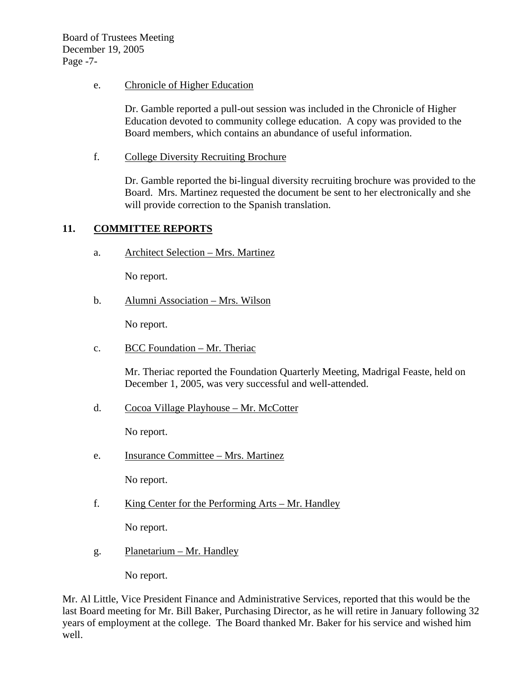### e. Chronicle of Higher Education

Dr. Gamble reported a pull-out session was included in the Chronicle of Higher Education devoted to community college education. A copy was provided to the Board members, which contains an abundance of useful information.

f. College Diversity Recruiting Brochure

Dr. Gamble reported the bi-lingual diversity recruiting brochure was provided to the Board. Mrs. Martinez requested the document be sent to her electronically and she will provide correction to the Spanish translation.

## **11. COMMITTEE REPORTS**

a. Architect Selection – Mrs. Martinez

No report.

b. Alumni Association – Mrs. Wilson

No report.

c. BCC Foundation – Mr. Theriac

Mr. Theriac reported the Foundation Quarterly Meeting, Madrigal Feaste, held on December 1, 2005, was very successful and well-attended.

d. Cocoa Village Playhouse – Mr. McCotter

No report.

e. Insurance Committee – Mrs. Martinez

No report.

f. King Center for the Performing Arts – Mr. Handley

No report.

g. Planetarium – Mr. Handley

No report.

Mr. Al Little, Vice President Finance and Administrative Services, reported that this would be the last Board meeting for Mr. Bill Baker, Purchasing Director, as he will retire in January following 32 years of employment at the college. The Board thanked Mr. Baker for his service and wished him well.